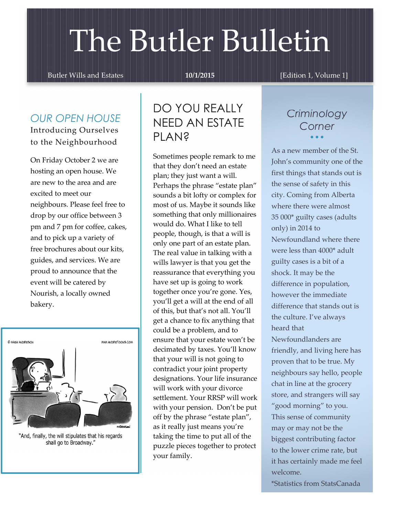# The Butler Bulletin

Butler Wills and Estates 10/1/2015 [Edition 1, Volume 1]

## *OUR OPEN HOUSE* Introducing Ourselves

to the Neighbourhood

On Friday October 2 we are hosting an open house. We are new to the area and are excited to meet our neighbours. Please feel free to drop by our office between 3 pm and 7 pm for coffee, cakes, and to pick up a variety of free brochures about our kits, guides, and services. We are proud to announce that the event will be catered by Nourish, a locally owned bakery.



"And, finally, the will stipulates that his regards shall go to Broadway."

## DO YOU REALLY NEED AN ESTATE PI AN<sub>2</sub>

Sometimes people remark to me that they don't need an estate plan; they just want a will. Perhaps the phrase "estate plan" sounds a bit lofty or complex for most of us. Maybe it sounds like something that only millionaires would do. What I like to tell people, though, is that a will is only one part of an estate plan. The real value in talking with a wills lawyer is that you get the reassurance that everything you have set up is going to work together once you're gone. Yes, you'll get a will at the end of all of this, but that's not all. You'll get a chance to fix anything that could be a problem, and to ensure that your estate won't be decimated by taxes. You'll know that your will is not going to contradict your joint property designations. Your life insurance will work with your divorce settlement. Your RRSP will work with your pension. Don't be put off by the phrase "estate plan", as it really just means you're taking the time to put all of the puzzle pieces together to protect your family.

## *Criminology Corner*  $\bullet$   $\bullet$   $\bullet$

As a new member of the St. John's community one of the first things that stands out is the sense of safety in this city. Coming from Alberta where there were almost 35 000\* guilty cases (adults only) in 2014 to Newfoundland where there were less than 4000\* adult guilty cases is a bit of a shock. It may be the difference in population, however the immediate difference that stands out is the culture. I've always heard that Newfoundlanders are friendly, and living here has proven that to be true. My neighbours say hello, people chat in line at the grocery store, and strangers will say "good morning" to you. This sense of community may or may not be the biggest contributing factor to the lower crime rate, but it has certainly made me feel welcome. \*Statistics from StatsCanada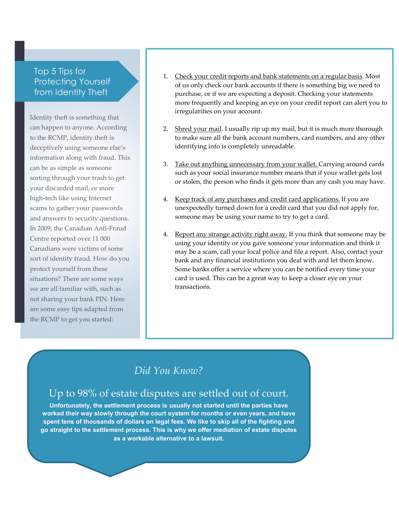### Top 5 Tips for **Protecting Yourself** from Identity Theft

Identity theft is something that can happen to anyone. According to the RCMP, identity theft is deceptively using someone else's information along with fraud. This can be as simple as someone sorting through your trash to get your discarded mail, or more high-tech like using Internet scams to gather your passwords and answers to security questions. In 2009, the Canadian Anti-Fraud Centre reported over 11 000 Canadians were victims of some sort of identity fraud. How do you protect yourself from these situations? There are some ways we are all familiar with, such as not sharing your bank PIN. Here are some easy tips adapted from the RCMP to get you started:

- 1. Check your credit reports and bank statements on a regular basis. Most of us only check our bank accounts if there is something big we need to purchase, or if we are expecting a deposit. Checking your statements more frequently and keeping an eye on your credit report can alert you to irregularities on your account.
- 2. Shred your mail. I usually rip up my mail, but it is much more thorough to make sure all the bank account numbers, card numbers, and any other identifying info is completely unreadable.
- 3. Take out anything unnecessary from your wallet. Carrying around cards such as your social insurance number means that if your wallet gets lost or stolen, the person who finds it gets more than any cash you may have.
- 4. Keep track of any purchases and credit card applications. If you are unexpectedly turned down for a credit card that you did not apply for, someone may be using your name to try to get a card.
- 4. Report any strange activity right away. If you think that someone may be using your identity or you gave someone your information and think it may be a scam, call your local police and file a report. Also, contact your bank and any financial institutions you deal with and let them know. Some banks offer a service where you can be notified every time your card is used. This can be a great way to keep a closer eye on your transactions.

## *Did You Know?*

## Up to 98% of estate disputes are settled out of court.

Unfortunately, the settlement process is usually not started until the parties have worked their way slowly through the court system for months or even years, and have spent tens of thousands of dollars on legal fees. We like to skip all of the fighting and go straight to the settlement process. This is why we offer mediation of estate disputes as a workable alternative to a lawsuit.